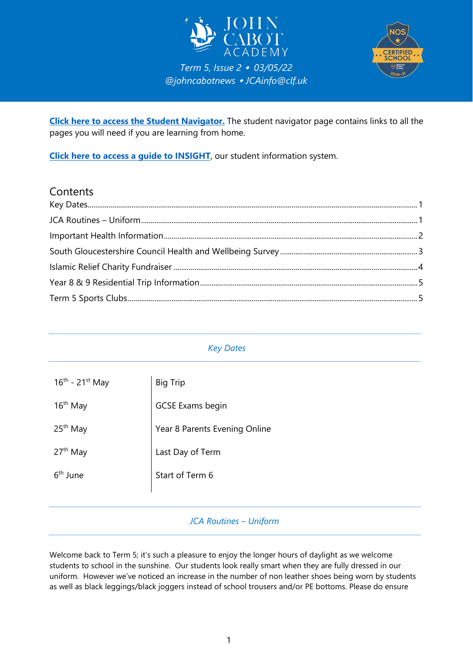



**[Click here to access the Student Navigator.](https://navigator.clf.uk/JCA/Students/index.html#gsc.tab=0)** The student navigator page contains links to all the pages you will need if you are learning from home.

**[Click here to access a guide to INSIGHT](https://clfacademies-my.sharepoint.com/:b:/g/personal/patrick_bolton_clf_uk/EbhMioLl4btPtlPuXZUUUJwBtulZyKuG2WdF9qY1vlRMOA?e=O5E3dJ)**, our student information system.

# **Contents**

## <span id="page-0-0"></span>*Key Dates*

| $16^{th}$ - 21st May | <b>Big Trip</b>               |
|----------------------|-------------------------------|
| 16 <sup>th</sup> May | <b>GCSE Exams begin</b>       |
| 25 <sup>th</sup> May | Year 8 Parents Evening Online |
| 27 <sup>th</sup> May | Last Day of Term              |
| 6 <sup>th</sup> June | Start of Term 6               |
|                      |                               |

## *JCA Routines – Uniform*

<span id="page-0-1"></span>Welcome back to Term 5; it's such a pleasure to enjoy the longer hours of daylight as we welcome students to school in the sunshine. Our students look really smart when they are fully dressed in our uniform. However we've noticed an increase in the number of non leather shoes being worn by students as well as black leggings/black joggers instead of school trousers and/or PE bottoms. Please do ensure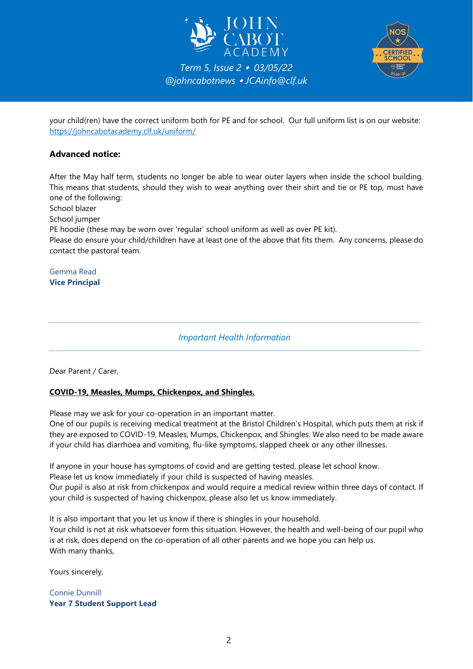



your child(ren) have the correct uniform both for PE and for school. Our full uniform list is on our website: <https://johncabotacademy.clf.uk/uniform/>

#### **Advanced notice:**

After the May half term, students no longer be able to wear outer layers when inside the school building. This means that students, should they wish to wear anything over their shirt and tie or PE top, must have one of the following:

School blazer

School jumper

PE hoodie (these may be worn over 'regular' school uniform as well as over PE kit).

Please do ensure your child/children have at least one of the above that fits them. Any concerns, please do contact the pastoral team.

<span id="page-1-0"></span>Gemma Read **Vice Principal**

*Important Health Information*

Dear Parent / Carer,

#### **COVID-19, Measles, Mumps, Chickenpox, and Shingles.**

Please may we ask for your co-operation in an important matter.

One of our pupils is receiving medical treatment at the Bristol Children's Hospital, which puts them at risk if they are exposed to COVID-19, Measles, Mumps, Chickenpox, and Shingles. We also need to be made aware if your child has diarrhoea and vomiting, flu-like symptoms, slapped cheek or any other illnesses.

If anyone in your house has symptoms of covid and are getting tested, please let school know.

Please let us know immediately if your child is suspected of having measles.

Our pupil is also at risk from chickenpox and would require a medical review within three days of contact. If your child is suspected of having chickenpox, please also let us know immediately.

It is also important that you let us know if there is shingles in your household. Your child is not at risk whatsoever form this situation. However, the health and well-being of our pupil who is at risk, does depend on the co-operation of all other parents and we hope you can help us. With many thanks,

Yours sincerely,

Connie Dunnill **Year 7 Student Support Lead**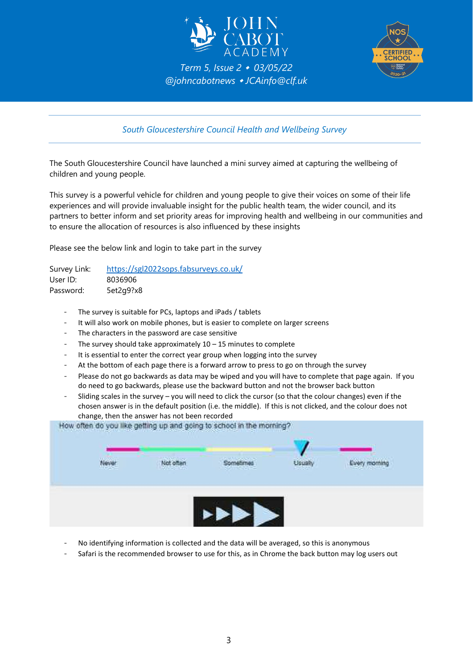



*South Gloucestershire Council Health and Wellbeing Survey*

<span id="page-2-0"></span>The South Gloucestershire Council have launched a mini survey aimed at capturing the wellbeing of children and young people.

This survey is a powerful vehicle for children and young people to give their voices on some of their life experiences and will provide invaluable insight for the public health team, the wider council, and its partners to better inform and set priority areas for improving health and wellbeing in our communities and to ensure the allocation of resources is also influenced by these insights

Please see the below link and login to take part in the survey

| Survey Link: | https://sgl2022sops.fabsurveys.co.uk/ |
|--------------|---------------------------------------|
| User ID:     | 8036906                               |
| Password:    | 5et2g9?x8                             |

- The survey is suitable for PCs, laptops and iPads / tablets
- It will also work on mobile phones, but is easier to complete on larger screens
- The characters in the password are case sensitive
- The survey should take approximately  $10 15$  minutes to complete
- It is essential to enter the correct year group when logging into the survey
- At the bottom of each page there is a forward arrow to press to go on through the survey
- Please do not go backwards as data may be wiped and you will have to complete that page again. If you do need to go backwards, please use the backward button and not the browser back button
- Sliding scales in the survey you will need to click the cursor (so that the colour changes) even if the chosen answer is in the default position (i.e. the middle). If this is not clicked, and the colour does not change, then the answer has not been recorded

| Not often<br><b>Usually</b><br>Sometimes<br>We contact<br>--- |  | Every morning |
|---------------------------------------------------------------|--|---------------|

- No identifying information is collected and the data will be averaged, so this is anonymous
- Safari is the recommended browser to use for this, as in Chrome the back button may log users out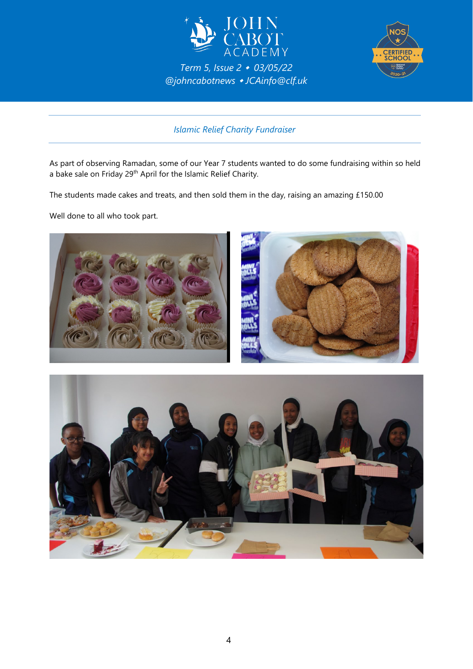



*Islamic Relief Charity Fundraiser*

<span id="page-3-0"></span>As part of observing Ramadan, some of our Year 7 students wanted to do some fundraising within so held a bake sale on Friday 29th April for the Islamic Relief Charity.

The students made cakes and treats, and then sold them in the day, raising an amazing £150.00

Well done to all who took part.